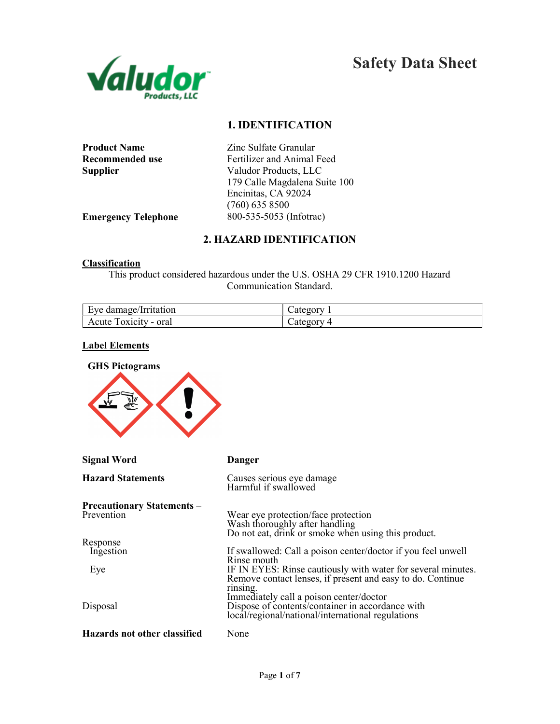

# 1. IDENTIFICATION

| <b>Product Name</b> |
|---------------------|
| Recommended use     |
| Supplier            |

Zinc Sulfate Granular Fertilizer and Animal Feed Valudor Products, LLC 179 Calle Magdalena Suite 100 Encinitas, CA 92024 (760) 635 8500 Emergency Telephone 800-535-5053 (Infotrac)

# 2. HAZARD IDENTIFICATION

#### **Classification**

This product considered hazardous under the U.S. OSHA 29 CFR 1910.1200 Hazard Communication Standard.

| Eye damage/Irritation    | ategory                 |
|--------------------------|-------------------------|
| Toxicity - oral<br>Acute | $\mathcal{L}$ ategory 4 |

#### Label Elements

| <b>GHS Pictograms</b>                           |                                                                                                                                                                                                                       |  |
|-------------------------------------------------|-----------------------------------------------------------------------------------------------------------------------------------------------------------------------------------------------------------------------|--|
| <b>Signal Word</b>                              | <b>Danger</b>                                                                                                                                                                                                         |  |
| <b>Hazard Statements</b>                        | Causes serious eye damage<br>Harmful if swallowed                                                                                                                                                                     |  |
| <b>Precautionary Statements –</b><br>Prevention | Wear eye protection/face protection<br>Wash thoroughly after handling<br>Do not eat, drink or smoke when using this product.                                                                                          |  |
| Response<br>Ingestion<br>Eye                    | If swallowed: Call a poison center/doctor if you feel unwell<br>Rinse mouth<br>IF IN EYES: Rinse cautiously with water for several minutes.<br>Remove contact lenses, if present and easy to do. Continue<br>rinsing. |  |
| Disposal<br>Hazards not other classified        | Immediately call a poison center/doctor<br>Dispose of contents/container in accordance with<br>local/regional/national/international regulations<br>None                                                              |  |
|                                                 |                                                                                                                                                                                                                       |  |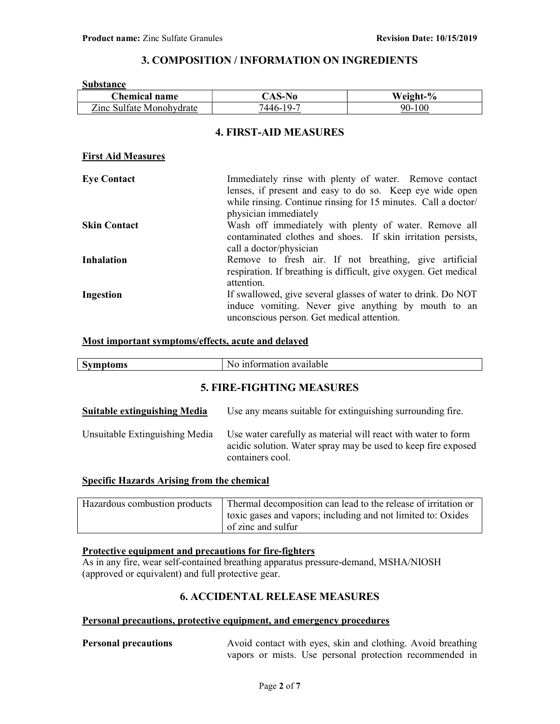# 3. COMPOSITION / INFORMATION ON INGREDIENTS

| <b>Substance</b>          |                                                                                                                                                                                                               |                                                                                                                            |
|---------------------------|---------------------------------------------------------------------------------------------------------------------------------------------------------------------------------------------------------------|----------------------------------------------------------------------------------------------------------------------------|
| <b>Chemical name</b>      | <b>CAS-No</b>                                                                                                                                                                                                 | Weight-%                                                                                                                   |
| Zinc Sulfate Monohydrate  | 7446-19-7                                                                                                                                                                                                     | 90-100                                                                                                                     |
|                           | <b>4. FIRST-AID MEASURES</b>                                                                                                                                                                                  |                                                                                                                            |
| <b>First Aid Measures</b> |                                                                                                                                                                                                               |                                                                                                                            |
| <b>Eye Contact</b>        | Immediately rinse with plenty of water. Remove contact<br>lenses, if present and easy to do so. Keep eye wide open<br>while rinsing. Continue rinsing for 15 minutes. Call a doctor/<br>physician immediately |                                                                                                                            |
| <b>Skin Contact</b>       | call a doctor/physician                                                                                                                                                                                       | Wash off immediately with plenty of water. Remove all<br>contaminated clothes and shoes. If skin irritation persists,      |
| <b>Inhalation</b>         | attention.                                                                                                                                                                                                    | Remove to fresh air. If not breathing, give artificial<br>respiration. If breathing is difficult, give oxygen. Get medical |
| Ingestion                 | unconscious person. Get medical attention.                                                                                                                                                                    | If swallowed, give several glasses of water to drink. Do NOT<br>induce vomiting. Never give anything by mouth to an        |

#### Most important symptoms/effects, acute and delayed

| <b>Symptoms</b> | No information available         |
|-----------------|----------------------------------|
|                 | <b>5. FIRE-FIGHTING MEASURES</b> |

| <b>Suitable extinguishing Media</b> | Use any means suitable for extinguishing surrounding fire.                                                                                         |
|-------------------------------------|----------------------------------------------------------------------------------------------------------------------------------------------------|
| Unsuitable Extinguishing Media      | Use water carefully as material will react with water to form<br>acidic solution. Water spray may be used to keep fire exposed<br>containers cool. |

## Specific Hazards Arising from the chemical

| Hazardous combustion products Thermal decomposition can lead to the release of irritation or |
|----------------------------------------------------------------------------------------------|
| toxic gases and vapors; including and not limited to: Oxides                                 |
| of zinc and sulfur                                                                           |

## Protective equipment and precautions for fire-fighters

As in any fire, wear self-contained breathing apparatus pressure-demand, MSHA/NIOSH (approved or equivalent) and full protective gear.

## 6. ACCIDENTAL RELEASE MEASURES

## Personal precautions, protective equipment, and emergency procedures

Personal precautions Avoid contact with eyes, skin and clothing. Avoid breathing vapors or mists. Use personal protection recommended in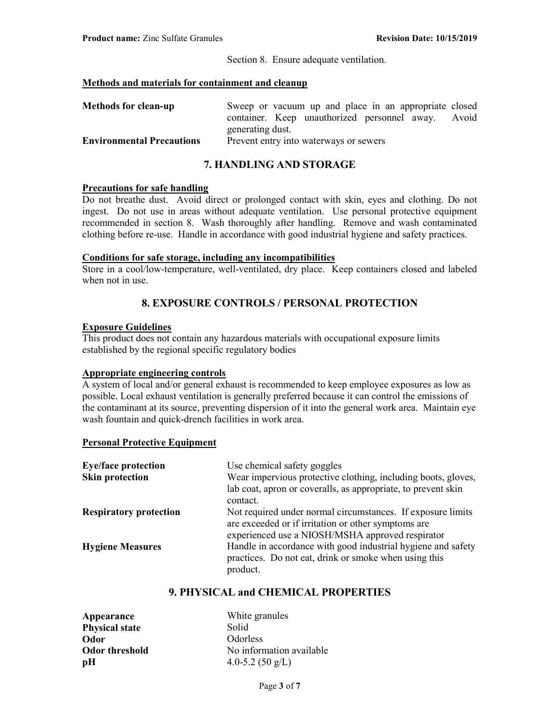Section 8. Ensure adequate ventilation.

## Methods and materials for containment and cleanup

| <b>Methods for clean-up</b>      | Sweep or vacuum up and place in an appropriate closed |  |
|----------------------------------|-------------------------------------------------------|--|
|                                  | container. Keep unauthorized personnel away. Avoid    |  |
|                                  | generating dust.                                      |  |
| <b>Environmental Precautions</b> | Prevent entry into waterways or sewers                |  |

# 7. HANDLING AND STORAGE

#### Precautions for safe handling

Do not breathe dust. Avoid direct or prolonged contact with skin, eyes and clothing. Do not ingest. Do not use in areas without adequate ventilation. Use personal protective equipment recommended in section 8. Wash thoroughly after handling. Remove and wash contaminated clothing before re-use. Handle in accordance with good industrial hygiene and safety practices.

# Conditions for safe storage, including any incompatibilities

Store in a cool/low-temperature, well-ventilated, dry place. Keep containers closed and labeled when not in use.

# 8. EXPOSURE CONTROLS / PERSONAL PROTECTION

#### Exposure Guidelines

This product does not contain any hazardous materials with occupational exposure limits established by the regional specific regulatory bodies

## Appropriate engineering controls

A system of local and/or general exhaust is recommended to keep employee exposures as low as possible. Local exhaust ventilation is generally preferred because it can control the emissions of the contaminant at its source, preventing dispersion of it into the general work area. Maintain eye wash fountain and quick-drench facilities in work area.

## Personal Protective Equipment

| <b>Eye/face protection</b>    | Use chemical safety goggles                                   |
|-------------------------------|---------------------------------------------------------------|
| <b>Skin protection</b>        | Wear impervious protective clothing, including boots, gloves, |
|                               | lab coat, apron or coveralls, as appropriate, to prevent skin |
|                               | contact.                                                      |
| <b>Respiratory protection</b> | Not required under normal circumstances. If exposure limits   |
|                               | are exceeded or if irritation or other symptoms are           |
|                               | experienced use a NIOSH/MSHA approved respirator              |
| <b>Hygiene Measures</b>       | Handle in accordance with good industrial hygiene and safety  |
|                               | practices. Do not eat, drink or smoke when using this         |
|                               | product.                                                      |

# 9. PHYSICAL and CHEMICAL PROPERTIES

| Appearance            | White granules             |
|-----------------------|----------------------------|
| <b>Physical state</b> | Solid                      |
| Odor                  | <b>Odorless</b>            |
| Odor threshold        | No information available   |
| pH                    | 4.0-5.2 $(50 \text{ g/L})$ |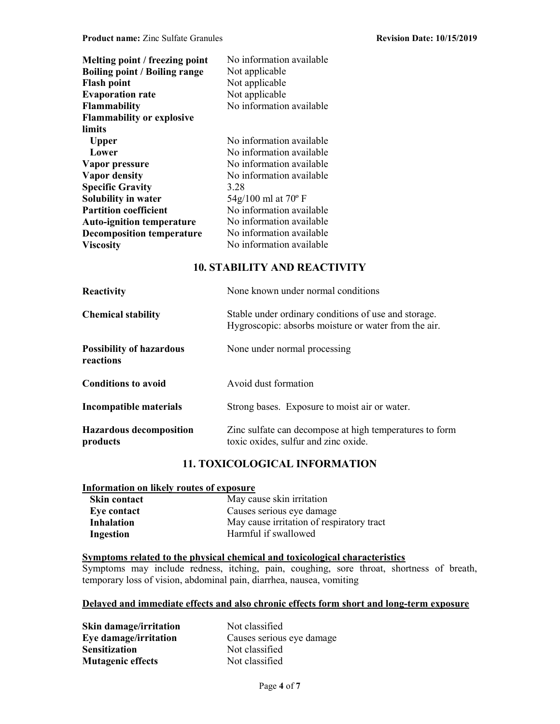| Melting point / freezing point<br><b>Boiling point / Boiling range</b><br><b>Flash point</b><br><b>Evaporation rate</b> | No information available<br>Not applicable<br>Not applicable<br>Not applicable |
|-------------------------------------------------------------------------------------------------------------------------|--------------------------------------------------------------------------------|
| <b>Flammability</b>                                                                                                     | No information available                                                       |
| <b>Flammability or explosive</b>                                                                                        |                                                                                |
| limits                                                                                                                  |                                                                                |
| <b>Upper</b>                                                                                                            | No information available                                                       |
| Lower                                                                                                                   | No information available                                                       |
| Vapor pressure                                                                                                          | No information available                                                       |
| <b>Vapor density</b>                                                                                                    | No information available                                                       |
| <b>Specific Gravity</b>                                                                                                 | 3.28                                                                           |
| Solubility in water                                                                                                     | 54g/100 ml at 70 $^{\circ}$ F                                                  |
| <b>Partition coefficient</b>                                                                                            | No information available                                                       |
| <b>Auto-ignition temperature</b>                                                                                        | No information available                                                       |
| <b>Decomposition temperature</b>                                                                                        | No information available                                                       |
| <b>Viscosity</b>                                                                                                        | No information available                                                       |

# 10. STABILITY AND REACTIVITY

| Reactivity                                   | None known under normal conditions                                                                           |
|----------------------------------------------|--------------------------------------------------------------------------------------------------------------|
| <b>Chemical stability</b>                    | Stable under ordinary conditions of use and storage.<br>Hygroscopic: absorbs moisture or water from the air. |
| <b>Possibility of hazardous</b><br>reactions | None under normal processing                                                                                 |
| <b>Conditions to avoid</b>                   | Avoid dust formation                                                                                         |
| Incompatible materials                       | Strong bases. Exposure to moist air or water.                                                                |
| <b>Hazardous decomposition</b><br>products   | Zinc sulfate can decompose at high temperatures to form<br>toxic oxides, sulfur and zinc oxide.              |

# 11. TOXICOLOGICAL INFORMATION

## Information on likely routes of exposure

| <b>Skin contact</b> | May cause skin irritation                 |
|---------------------|-------------------------------------------|
| Eye contact         | Causes serious eye damage                 |
| <b>Inhalation</b>   | May cause irritation of respiratory tract |
| Ingestion           | Harmful if swallowed                      |

# Symptoms related to the physical chemical and toxicological characteristics

Symptoms may include redness, itching, pain, coughing, sore throat, shortness of breath, temporary loss of vision, abdominal pain, diarrhea, nausea, vomiting

# Delayed and immediate effects and also chronic effects form short and long-term exposure

Skin damage/irritation Not classified Sensitization Not classified<br>
Mutagenic effects Not classified Mutagenic effects

Eye damage/irritation<br>
Causes serious eye damage<br>
Not classified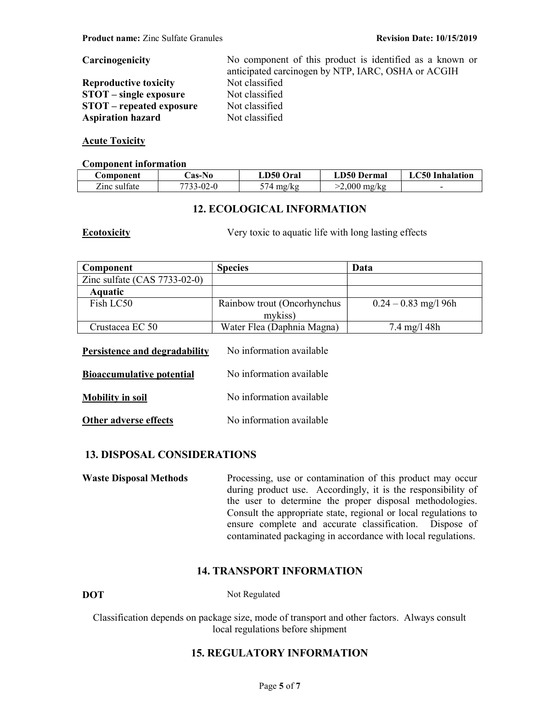## Carcinogenicity No component of this product is identified as a known or

Reproductive toxicity Not classified STOT – single exposure Not classified<br>STOT – reneated exposure Not classified  $STOT$  – repeated exposure Aspiration hazard Not classified

## Acute Toxicity

#### Component information

| <b>Component</b> | ∴as-No    | <b>LD50 Oral</b>    | LD50 Dermal    | <b>LC50</b> Inhalation |
|------------------|-----------|---------------------|----------------|------------------------|
| Zinc sulfate     | 7733-02-0 | $574 \text{ mg/kg}$ | $>2,000$ mg/kg |                        |

# 12. ECOLOGICAL INFORMATION

**Ecotoxicity** Very toxic to aquatic life with long lasting effects

anticipated carcinogen by NTP, IARC, OSHA or ACGIH

| Component                      | <b>Species</b>              | Data                   |
|--------------------------------|-----------------------------|------------------------|
| Zinc sulfate $(CAS 7733-02-0)$ |                             |                        |
| <b>Aquatic</b>                 |                             |                        |
| Fish LC50                      | Rainbow trout (Oncorhynchus | $0.24 - 0.83$ mg/l 96h |
|                                | mykiss)                     |                        |
| Crustacea EC 50                | Water Flea (Daphnia Magna)  | $7.4 \text{ mg}/148h$  |
|                                |                             |                        |

| <b>Bioaccumulative potential</b> | No information available |
|----------------------------------|--------------------------|
| <b>Mobility in soil</b>          | No information available |
| Other adverse effects            | No information available |

Persistence and degradability No information available

# 13. DISPOSAL CONSIDERATIONS

Waste Disposal Methods Processing, use or contamination of this product may occur during product use. Accordingly, it is the responsibility of the user to determine the proper disposal methodologies. Consult the appropriate state, regional or local regulations to ensure complete and accurate classification. Dispose of contaminated packaging in accordance with local regulations.

## 14. TRANSPORT INFORMATION

DOT Not Regulated

Classification depends on package size, mode of transport and other factors. Always consult local regulations before shipment

# 15. REGULATORY INFORMATION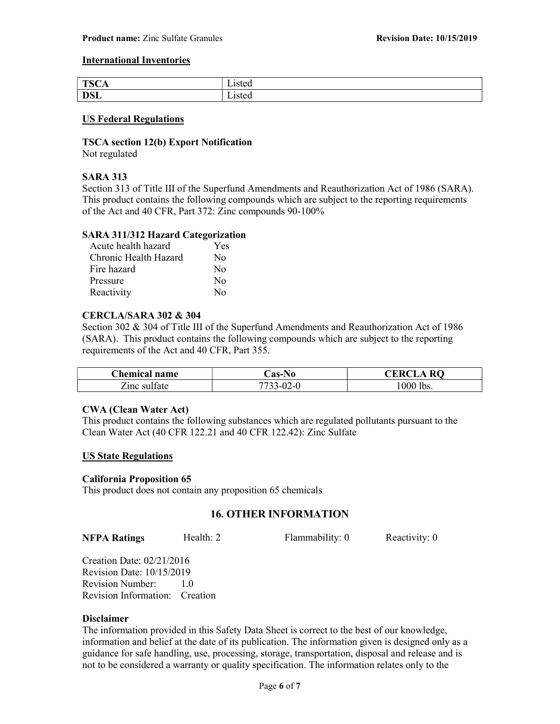#### International Inventories

| TCC<br>80<br>$\sim$<br>∸∾ | 10100<br>7 IG C                   |
|---------------------------|-----------------------------------|
| <b>DSL</b>                | $\overline{\phantom{a}}$<br>usicu |

#### US Federal Regulations

## TSCA section 12(b) Export Notification

Not regulated

#### SARA 313

Section 313 of Title III of the Superfund Amendments and Reauthorization Act of 1986 (SARA). This product contains the following compounds which are subject to the reporting requirements of the Act and 40 CFR, Part 372: Zinc compounds 90-100%

#### SARA 311/312 Hazard Categorization

| Acute health hazard   | Yes              |
|-----------------------|------------------|
| Chronic Health Hazard | No               |
| Fire hazard           | No               |
| Pressure              | $\rm No$         |
| Reactivity            | $\rm N_{\Omega}$ |

#### CERCLA/SARA 302 & 304

Section 302 & 304 of Title III of the Superfund Amendments and Reauthorization Act of 1986 (SARA). This product contains the following compounds which are subject to the reporting requirements of the Act and 40 CFR, Part 355.

| <b>Chemical name</b> | -No<br>∴as-l`                    | $\cap$ ER $\cap$<br><b>RO</b><br>. А |
|----------------------|----------------------------------|--------------------------------------|
| ∠inc sul†ate         | $.3 - 02$<br>7733.<br>$\sqrt{ }$ | $1000$ lbs.                          |

#### CWA (Clean Water Act)

This product contains the following substances which are regulated pollutants pursuant to the Clean Water Act (40 CFR 122.21 and 40 CFR 122.42): Zinc Sulfate

#### US State Regulations

#### California Proposition 65

This product does not contain any proposition 65 chemicals

# 16. OTHER INFORMATION

| Health: 2<br>Flammability: 0<br><b>NFPA Ratings</b> |  |  |  | Reactivity: 0 |
|-----------------------------------------------------|--|--|--|---------------|
|-----------------------------------------------------|--|--|--|---------------|

Creation Date: 02/21/2016 Revision Date: 10/15/2019 Revision Number: 1.0 Revision Information: Creation

## Disclaimer

The information provided in this Safety Data Sheet is correct to the best of our knowledge, information and belief at the date of its publication. The information given is designed only as a guidance for safe handling, use, processing, storage, transportation, disposal and release and is not to be considered a warranty or quality specification. The information relates only to the